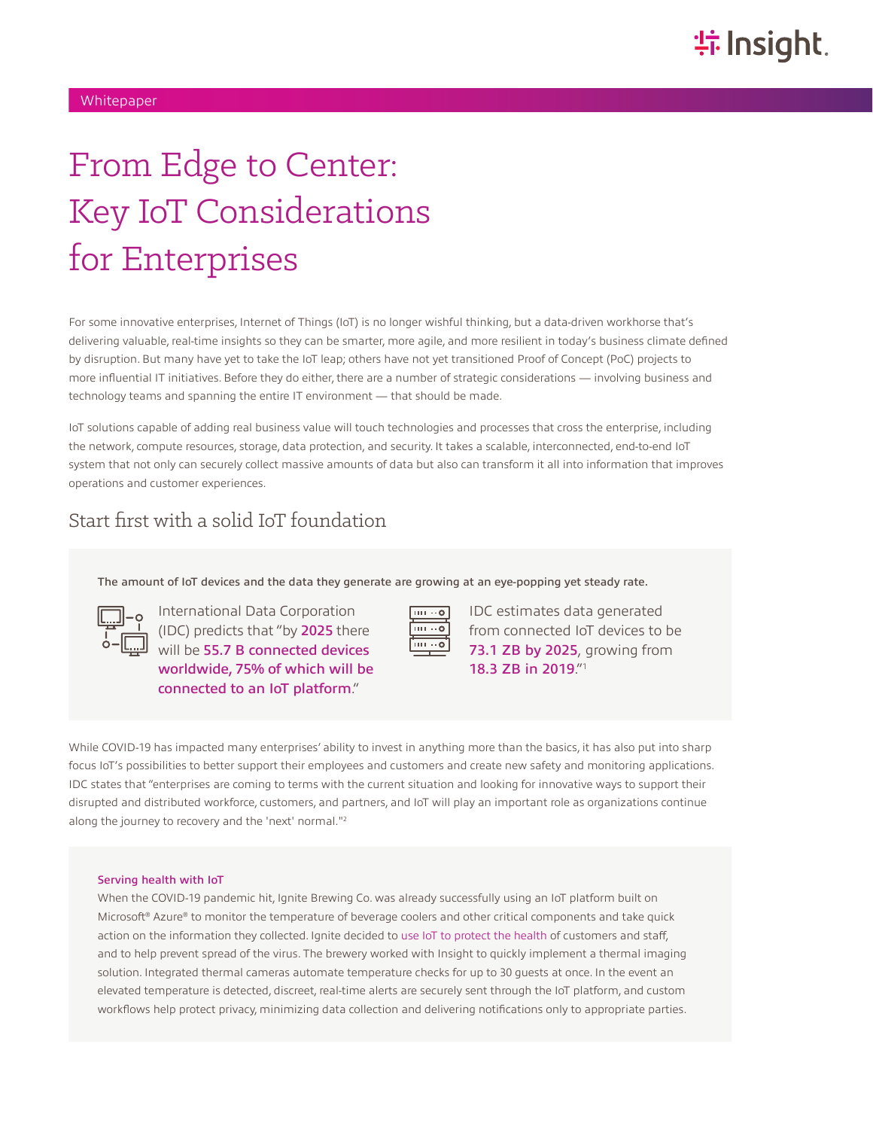# From Edge to Center: Key IoT Considerations for Enterprises

For some innovative enterprises, Internet of Things (IoT) is no longer wishful thinking, but a data-driven workhorse that's delivering valuable, real-time insights so they can be smarter, more agile, and more resilient in today's business climate defined by disruption. But many have yet to take the IoT leap; others have not yet transitioned Proof of Concept (PoC) projects to more influential IT initiatives. Before they do either, there are a number of strategic considerations — involving business and technology teams and spanning the entire IT environment — that should be made.

IoT solutions capable of adding real business value will touch technologies and processes that cross the enterprise, including the network, compute resources, storage, data protection, and security. It takes a scalable, interconnected, end-to-end IoT system that not only can securely collect massive amounts of data but also can transform it all into information that improves operations and customer experiences.

### Start first with a solid IoT foundation

[The amount of IoT devices and the data they generate are growing at an eye-popping yet steady rate.](https://www.insight.com/en_US/content-and-resources/case-studies/brewery-serves-healthier-environment-through-iot-solutions.html)

International Data Corporation (IDC) predicts that "by 2025 there will be 55.7 B connected devices worldwide, 75% of which will be connected to an IoT platform."



IDC estimates data generated from connected IoT devices to be 73.1 ZB by 2025, growing from 18.3 ZB in 2019."1

While COVID-19 has impacted many enterprises' ability to invest in anything more than the basics, it has also put into sharp focus IoT's possibilities to better support their employees and customers and create new safety and monitoring applications. IDC states that "enterprises are coming to terms with the current situation and looking for innovative ways to support their disrupted and distributed workforce, customers, and partners, and IoT will play an important role as organizations continue along the journey to recovery and the 'next' normal."2

#### [Serving health with IoT](https://www.insight.com/en_US/content-and-resources/case-studies/brewery-serves-healthier-environment-through-iot-solutions.html)

When the COVID-19 pandemic hit, Ignite Brewing Co. was already successfully using an IoT platform built on Microsoft® Azure® to monitor the temperature of beverage coolers and other critical components and take quick action on the information they collected. Ignite decided to [use IoT to protect the health](https://www.ignite.beer/serving-a-safer-healthier-environment-through-iot-solutions-with-insight-and-microsoft/) of customers and staff, and to help prevent spread of the virus. The brewery worked with Insight to quickly implement a thermal imaging solution. Integrated thermal cameras automate temperature checks for up to 30 guests at once. In the event an elevated temperature is detected, discreet, real-time alerts are securely sent through the IoT platform, and custom workflows help protect privacy, minimizing data collection and delivering notifications only to appropriate parties.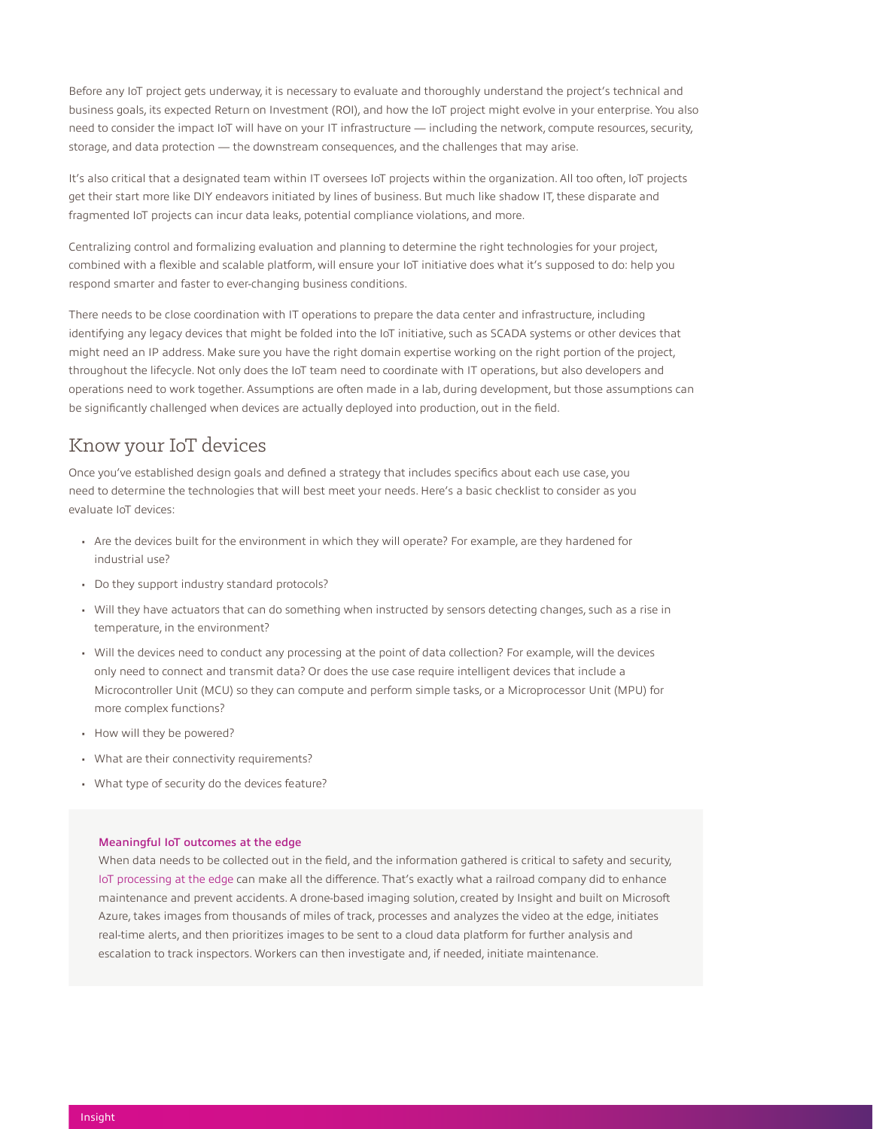Before any IoT project gets underway, it is necessary to evaluate and thoroughly understand the project's technical and business goals, its expected Return on Investment (ROI), and how the IoT project might evolve in your enterprise. You also need to consider the impact IoT will have on your IT infrastructure — including the network, compute resources, security, storage, and data protection — the downstream consequences, and the challenges that may arise.

It's also critical that a designated team within IT oversees IoT projects within the organization. All too often, IoT projects get their start more like DIY endeavors initiated by lines of business. But much like shadow IT, these disparate and fragmented IoT projects can incur data leaks, potential compliance violations, and more.

Centralizing control and formalizing evaluation and planning to determine the right technologies for your project, combined with a flexible and scalable platform, will ensure your IoT initiative does what it's supposed to do: help you respond smarter and faster to ever-changing business conditions.

There needs to be close coordination with IT operations to prepare the data center and infrastructure, including identifying any legacy devices that might be folded into the IoT initiative, such as SCADA systems or other devices that might need an IP address. Make sure you have the right domain expertise working on the right portion of the project, throughout the lifecycle. Not only does the IoT team need to coordinate with IT operations, but also developers and operations need to work together. Assumptions are often made in a lab, during development, but those assumptions can be significantly challenged when devices are actually deployed into production, out in the field.

### Know your IoT devices

Once you've established design goals and defined a strategy that includes specifics about each use case, you need to determine the technologies that will best meet your needs. Here's a basic checklist to consider as you evaluate IoT devices:

- Are the devices built for the environment in which they will operate? For example, are they hardened for industrial use?
- Do they support industry standard protocols?
- Will they have actuators that can do something when instructed by sensors detecting changes, such as a rise in temperature, in the environment?
- Will the devices need to conduct any processing at the point of data collection? For example, will the devices only need to connect and transmit data? Or does the use case require intelligent devices that include a Microcontroller Unit (MCU) so they can compute and perform simple tasks, or a Microprocessor Unit (MPU) for more complex functions?
- How will they be powered?
- What are their connectivity requirements?
- What type of security do the devices feature?

#### Meaningful IoT outcomes at the edge

When data needs to be collected out in the field, and the information gathered is critical to safety and security, [IoT processing at the edge](https://www.insight.com/en_US/content-and-resources/case-studies/increasing-railroad-maintenance-productivity-with-the-iot-and-azure.html) can make all the difference. That's exactly what a railroad company did to enhance maintenance and prevent accidents. A drone-based imaging solution, created by Insight and built on Microsoft Azure, takes images from thousands of miles of track, processes and analyzes the video at the edge, initiates real-time alerts, and then prioritizes images to be sent to a cloud data platform for further analysis and escalation to track inspectors. Workers can then investigate and, if needed, initiate maintenance.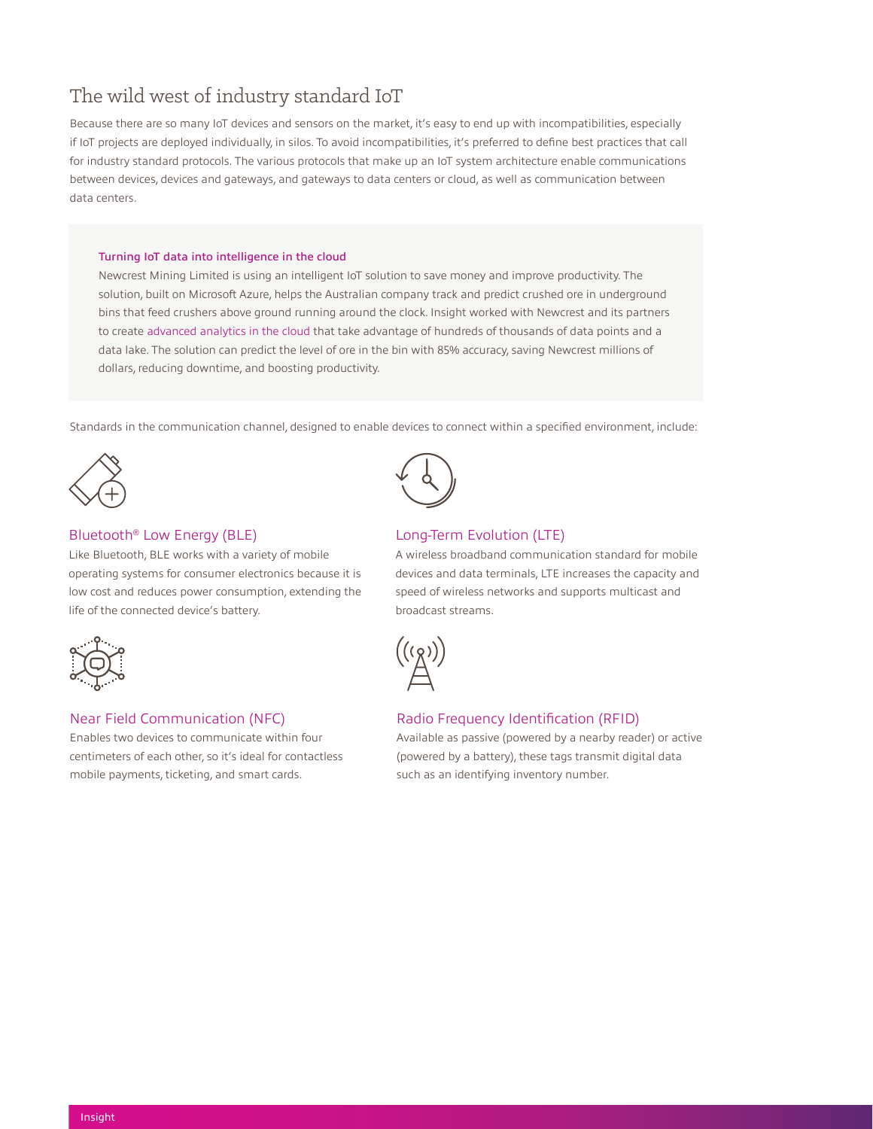### The wild west of industry standard IoT

Because there are so many IoT devices and sensors on the market, it's easy to end up with incompatibilities, especially if IoT projects are deployed individually, in silos. To avoid incompatibilities, it's preferred to define best practices that call for industry standard protocols. The various protocols that make up an IoT system architecture enable communications between devices, devices and gateways, and gateways to data centers or cloud, as well as communication between data centers.

#### Turning IoT data into intelligence in the cloud

Newcrest Mining Limited is using an intelligent IoT solution to save money and improve productivity. The solution, built on Microsoft Azure, helps the Australian company track and predict crushed ore in underground bins that feed crushers above ground running around the clock. Insight worked with Newcrest and its partners to create [advanced analytics in the cloud](https://www.insight.com/en_US/content-and-resources/case-studies/newcrest-mining-improves-operations-with-azure-iot.html) that take advantage of hundreds of thousands of data points and a data lake. The solution can predict the level of ore in the bin with 85% accuracy, saving Newcrest millions of dollars, reducing downtime, and boosting productivity.

Standards in the communication channel, designed to enable devices to connect within a specified environment, include:



#### Bluetooth® Low Energy (BLE)

Like Bluetooth, BLE works with a variety of mobile operating systems for consumer electronics because it is low cost and reduces power consumption, extending the life of the connected device's battery.



#### Near Field Communication (NFC)

Enables two devices to communicate within four centimeters of each other, so it's ideal for contactless mobile payments, ticketing, and smart cards.



#### Long-Term Evolution (LTE)

A wireless broadband communication standard for mobile devices and data terminals, LTE increases the capacity and speed of wireless networks and supports multicast and broadcast streams.



#### Radio Frequency Identification (RFID)

Available as passive (powered by a nearby reader) or active (powered by a battery), these tags transmit digital data such as an identifying inventory number.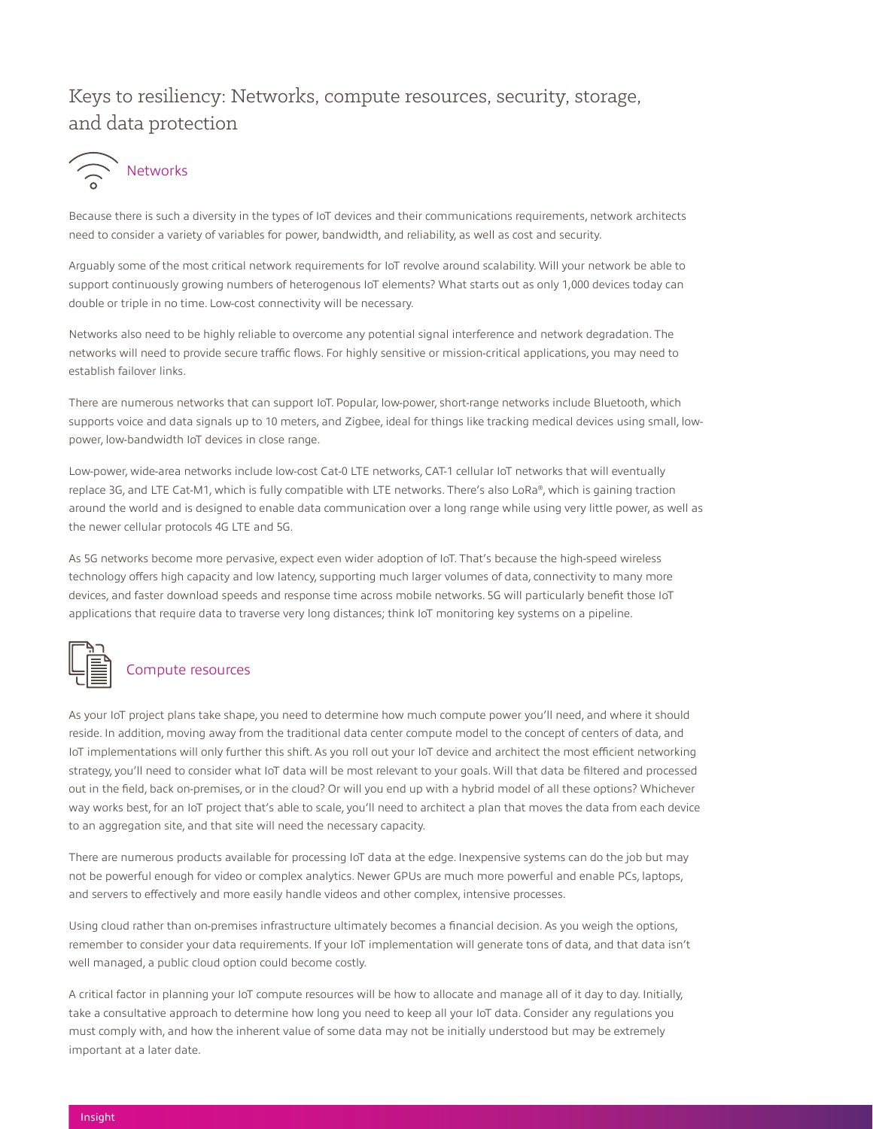### Keys to resiliency: Networks, compute resources, security, storage, and data protection



Because there is such a diversity in the types of IoT devices and their communications requirements, network architects need to consider a variety of variables for power, bandwidth, and reliability, as well as cost and security.

Arguably some of the most critical network requirements for IoT revolve around scalability. Will your network be able to support continuously growing numbers of heterogenous IoT elements? What starts out as only 1,000 devices today can double or triple in no time. Low-cost connectivity will be necessary.

Networks also need to be highly reliable to overcome any potential signal interference and network degradation. The networks will need to provide secure traffic flows. For highly sensitive or mission-critical applications, you may need to establish failover links.

There are numerous networks that can support IoT. Popular, low-power, short-range networks include Bluetooth, which supports voice and data signals up to 10 meters, and Zigbee, ideal for things like tracking medical devices using small, lowpower, low-bandwidth IoT devices in close range.

Low-power, wide-area networks include low-cost Cat-0 LTE networks, CAT-1 cellular IoT networks that will eventually replace 3G, and LTE Cat-M1, which is fully compatible with LTE networks. There's also LoRa®, which is gaining traction around the world and is designed to enable data communication over a long range while using very little power, as well as the newer cellular protocols 4G LTE and 5G.

As 5G networks become more pervasive, expect even wider adoption of IoT. That's because the high-speed wireless technology offers high capacity and low latency, supporting much larger volumes of data, connectivity to many more devices, and faster download speeds and response time across mobile networks. 5G will particularly benefit those IoT applications that require data to traverse very long distances; think IoT monitoring key systems on a pipeline.



### Compute resources

As your IoT project plans take shape, you need to determine how much compute power you'll need, and where it should reside. In addition, moving away from the traditional data center compute model to the concept of centers of data, and IoT implementations will only further this shift. As you roll out your IoT device and architect the most efficient networking strategy, you'll need to consider what IoT data will be most relevant to your goals. Will that data be filtered and processed out in the field, back on-premises, or in the cloud? Or will you end up with a hybrid model of all these options? Whichever way works best, for an IoT project that's able to scale, you'll need to architect a plan that moves the data from each device to an aggregation site, and that site will need the necessary capacity.

There are numerous products available for processing IoT data at the edge. Inexpensive systems can do the job but may not be powerful enough for video or complex analytics. Newer GPUs are much more powerful and enable PCs, laptops, and servers to effectively and more easily handle videos and other complex, intensive processes.

Using cloud rather than on-premises infrastructure ultimately becomes a financial decision. As you weigh the options, remember to consider your data requirements. If your IoT implementation will generate tons of data, and that data isn't well managed, a public cloud option could become costly.

A critical factor in planning your IoT compute resources will be how to allocate and manage all of it day to day. Initially, take a consultative approach to determine how long you need to keep all your IoT data. Consider any regulations you must comply with, and how the inherent value of some data may not be initially understood but may be extremely important at a later date.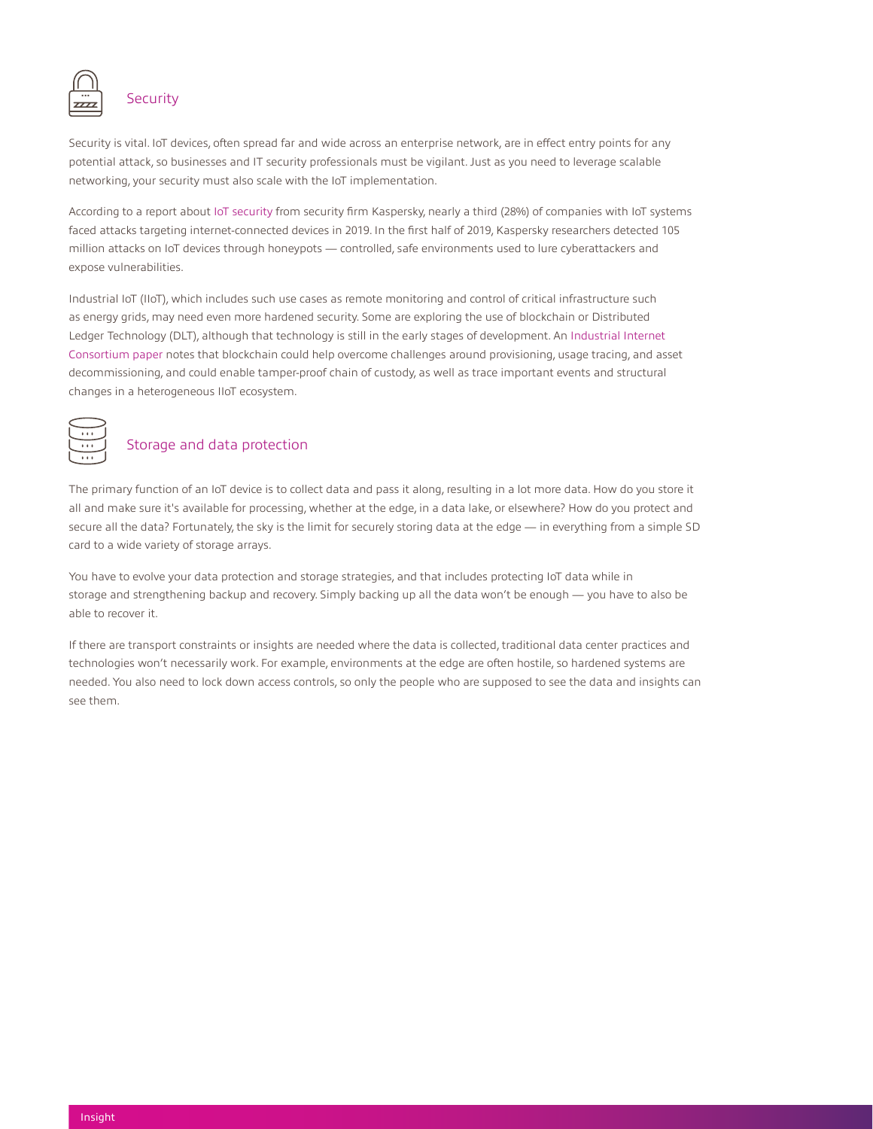

### **Security**

Security is vital. IoT devices, often spread far and wide across an enterprise network, are in effect entry points for any potential attack, so businesses and IT security professionals must be vigilant. Just as you need to leverage scalable networking, your security must also scale with the IoT implementation.

According to a report about [IoT security](https://media.kasperskydaily.com/wp-content/uploads/sites/92/2020/02/27074211/2020_Kaspersky_IoT_report.pdf) from security firm Kaspersky, nearly a third (28%) of companies with IoT systems faced attacks targeting internet-connected devices in 2019. In the first half of 2019, Kaspersky researchers detected 105 million attacks on IoT devices through honeypots — controlled, safe environments used to lure cyberattackers and expose vulnerabilities.

Industrial IoT (IIoT), which includes such use cases as remote monitoring and control of critical infrastructure such as energy grids, may need even more hardened security. Some are exploring the use of blockchain or Distributed Ledger Technology (DLT), although that technology is still in the early stages of development. An [Industrial Internet](https://www.prweb.com/releases/iic_white_paper_provides_guidance_for_designing_trustworthy_iiot_solutions_using_blockchain/prweb17280114.htm)  [Consortium paper](https://www.prweb.com/releases/iic_white_paper_provides_guidance_for_designing_trustworthy_iiot_solutions_using_blockchain/prweb17280114.htm) notes that blockchain could help overcome challenges around provisioning, usage tracing, and asset decommissioning, and could enable tamper-proof chain of custody, as well as trace important events and structural changes in a heterogeneous IIoT ecosystem.



### Storage and data protection

The primary function of an IoT device is to collect data and pass it along, resulting in a lot more data. How do you store it all and make sure it's available for processing, whether at the edge, in a data lake, or elsewhere? How do you protect and secure all the data? Fortunately, the sky is the limit for securely storing data at the edge — in everything from a simple SD card to a wide variety of storage arrays.

You have to evolve your data protection and storage strategies, and that includes protecting IoT data while in storage and strengthening backup and recovery. Simply backing up all the data won't be enough — you have to also be able to recover it.

If there are transport constraints or insights are needed where the data is collected, traditional data center practices and technologies won't necessarily work. For example, environments at the edge are often hostile, so hardened systems are needed. You also need to lock down access controls, so only the people who are supposed to see the data and insights can see them.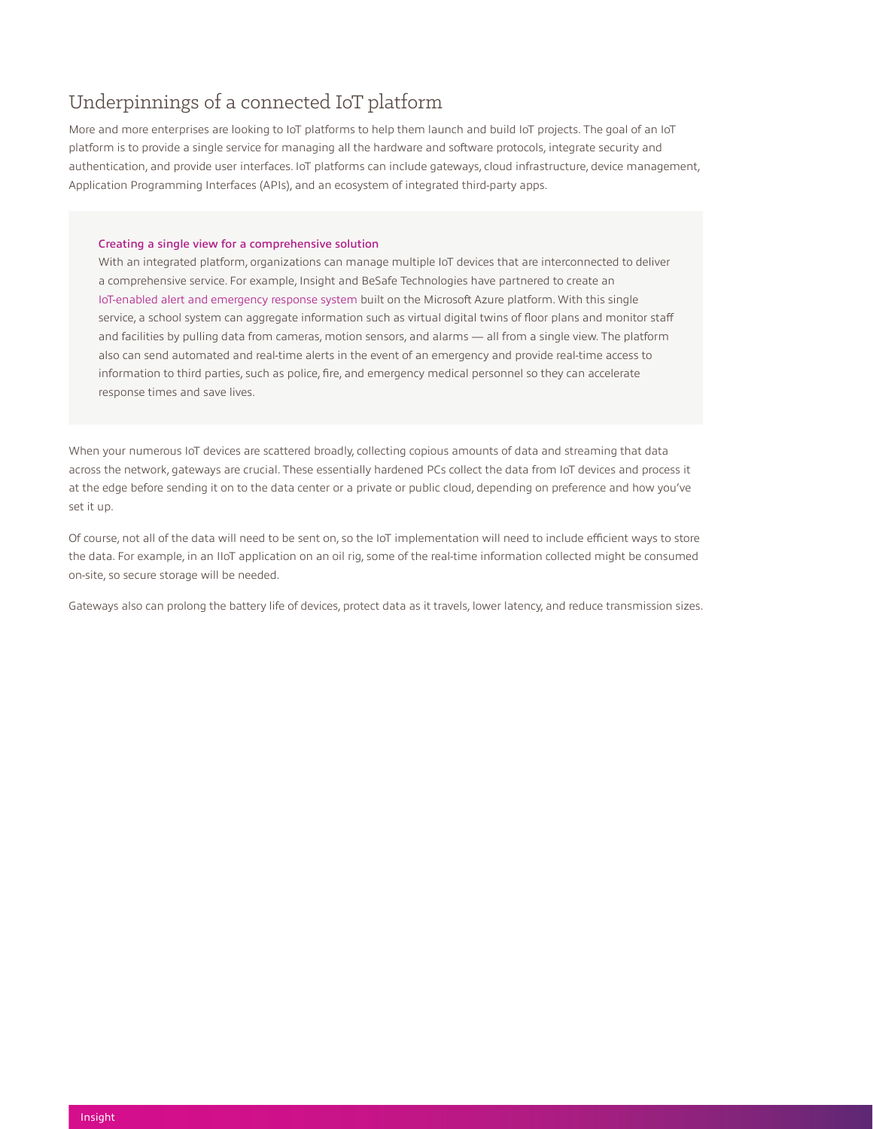### Underpinnings of a connected IoT platform

More and more enterprises are looking to IoT platforms to help them launch and build IoT projects. The goal of an IoT platform is to provide a single service for managing all the hardware and software protocols, integrate security and authentication, and provide user interfaces. IoT platforms can include gateways, cloud infrastructure, device management, Application Programming Interfaces (APIs), and an ecosystem of integrated third-party apps.

#### Creating a single view for a comprehensive solution

With an integrated platform, organizations can manage multiple IoT devices that are interconnected to deliver a comprehensive service. For example, Insight and BeSafe Technologies have partnered to create an [IoT-enabled alert and emergency response system](https://www.insight.com/en_US/content-and-resources/case-studies/the-future-of-public-safety--iot-technology.html) built on the Microsoft Azure platform. With this single service, a school system can aggregate information such as virtual digital twins of floor plans and monitor staff and facilities by pulling data from cameras, motion sensors, and alarms — all from a single view. The platform also can send automated and real-time alerts in the event of an emergency and provide real-time access to information to third parties, such as police, fire, and emergency medical personnel so they can accelerate response times and save lives.

When your numerous IoT devices are scattered broadly, collecting copious amounts of data and streaming that data across the network, gateways are crucial. These essentially hardened PCs collect the data from IoT devices and process it at the edge before sending it on to the data center or a private or public cloud, depending on preference and how you've set it up.

Of course, not all of the data will need to be sent on, so the IoT implementation will need to include efficient ways to store the data. For example, in an IIoT application on an oil rig, some of the real-time information collected might be consumed on-site, so secure storage will be needed.

Gateways also can prolong the battery life of devices, protect data as it travels, lower latency, and reduce transmission sizes.